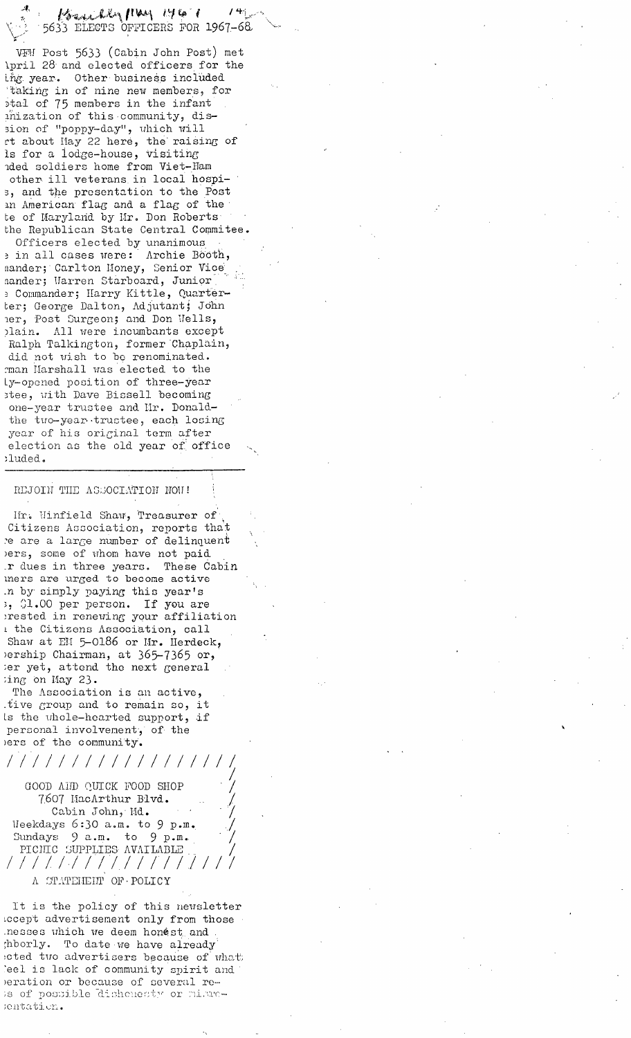Benedley May 146 ` f 5633 ELECTS OFFICERS FOR 1967-68

VFM Post 5633 (Cabin John Post) met kpril 28 and elected officers for the ing year. Other business included ~taking in of nine new members~ for ~tal of 75 members in the infant inization of this community, dission of "poppy-day", which will rt about Hay 22 here, the raising of is for a iodge-house, Visiting nded soldiers home from Viet-Ham other ill veterans in local hospi- ~ and the presentation to the Post an American flag and a flag of the te of Maryland by Mr. Don Roberts bhe Republican State Central Commitee.

Officers elected by unanimous e in all cases were: Archie Booth, nander; Carlton Money, Senior Vice aander; Uarren Starboard, Junior Commander; llarry Kirtle, quart6r ter; George Dalton, Adjutant; John her, Post Surgeon; and Don Wells, )lain. All were incumbamts except Ralph Talkington, former Chaplain, did not wish to be renominated. rman Harshall was elected to the Ly-opened position of three-year stee, with Dave Bissell becoming one-year trustee and Mr. Donaldthe two-year trustee, each losing year of his original term after election as the old year of office luded.

## REJOIN THE ASSOCIATION NOW!

J

/ / :/

lir. Winfield Shaw, Treasurer of Citizens Association, reports that e are a large number of delinquent )ers, some of whom have not paid r dues in three years. These Cabin mers are urged to become active .n by simply paying this year's ~ ()i.00 per person. If you are ;rested in renewing your affiliation the Citizens Association, call Shaw at Eli 5-0186 or Mr. Herdeck, )ership Chairman, at 365-7365 or, ;er yet, attend the next general ;ing On Hay 23.

The Association is an active, tive group and to remain so, it is the uhole-hearted support, if personal involvement, of the )ers of the community.

*/////////////////* /

GOOD Aifl) QUICK FOOD SHOP 7607 HacArthur Blvd. Cabin John, Hd.  $\text{Weekdays}$  6:30 a.m. to 9 p.m. Sundays 9 a.m. to 9 p.m. PICITIC SUPPLIES AVAILABLE / / / //./ ////////] / / A STATEHEIT OF POLICY

It is the policy of this newsletter advertisement only from those .nesses which we deem honest and ;hborly. To date we have already ected two advertisers because of what eel is lack of community spirit and )eration or because of several re- $\mathbf{a}$  of possible dishenesty or misrc-;entation.